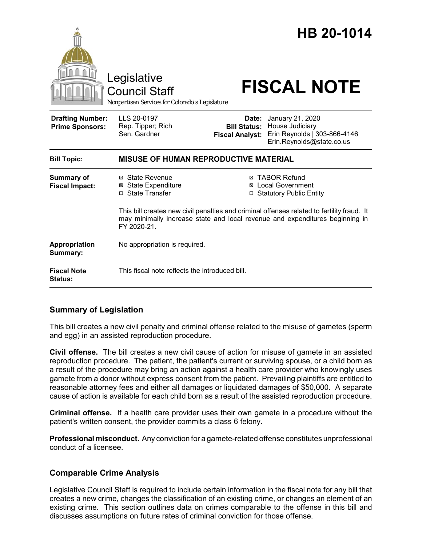|                                                   | Legislative<br><b>Council Staff</b><br>Nonpartisan Services for Colorado's Legislature |                                 | HB 20-1014<br><b>FISCAL NOTE</b>                                                                                                                                                                                                                               |  |
|---------------------------------------------------|----------------------------------------------------------------------------------------|---------------------------------|----------------------------------------------------------------------------------------------------------------------------------------------------------------------------------------------------------------------------------------------------------------|--|
| <b>Drafting Number:</b><br><b>Prime Sponsors:</b> | LLS 20-0197<br>Rep. Tipper; Rich<br>Sen. Gardner                                       | Date:<br><b>Fiscal Analyst:</b> | January 21, 2020<br><b>Bill Status: House Judiciary</b><br>Erin Reynolds   303-866-4146<br>Erin.Reynolds@state.co.us                                                                                                                                           |  |
| <b>Bill Topic:</b>                                | <b>MISUSE OF HUMAN REPRODUCTIVE MATERIAL</b>                                           |                                 |                                                                                                                                                                                                                                                                |  |
| <b>Summary of</b><br><b>Fiscal Impact:</b>        | ⊠ State Revenue<br><b>State Expenditure</b><br>⊠<br>□ State Transfer                   | ⊠<br>⊠                          | <b>TABOR Refund</b><br><b>Local Government</b><br><b>Statutory Public Entity</b><br>This bill creates new civil penalties and criminal offenses related to fertility fraud. It<br>may minimally increase state and local revenue and expenditures beginning in |  |
|                                                   | FY 2020-21.                                                                            |                                 |                                                                                                                                                                                                                                                                |  |
| Appropriation<br>Summary:                         | No appropriation is required.                                                          |                                 |                                                                                                                                                                                                                                                                |  |
| <b>Fiscal Note</b><br>Status:                     | This fiscal note reflects the introduced bill.                                         |                                 |                                                                                                                                                                                                                                                                |  |

# **Summary of Legislation**

This bill creates a new civil penalty and criminal offense related to the misuse of gametes (sperm and egg) in an assisted reproduction procedure.

**Civil offense.** The bill creates a new civil cause of action for misuse of gamete in an assisted reproduction procedure. The patient, the patient's current or surviving spouse, or a child born as a result of the procedure may bring an action against a health care provider who knowingly uses gamete from a donor without express consent from the patient. Prevailing plaintiffs are entitled to reasonable attorney fees and either all damages or liquidated damages of \$50,000. A separate cause of action is available for each child born as a result of the assisted reproduction procedure.

**Criminal offense.** If a health care provider uses their own gamete in a procedure without the patient's written consent, the provider commits a class 6 felony.

**Professional misconduct.** Any conviction for a gamete-related offense constitutes unprofessional conduct of a licensee.

# **Comparable Crime Analysis**

Legislative Council Staff is required to include certain information in the fiscal note for any bill that creates a new crime, changes the classification of an existing crime, or changes an element of an existing crime. This section outlines data on crimes comparable to the offense in this bill and discusses assumptions on future rates of criminal conviction for those offense.